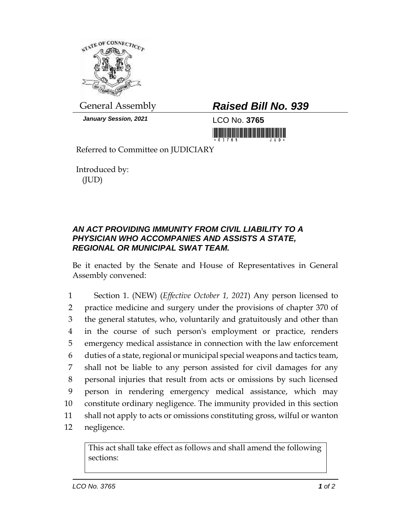

*January Session, 2021* LCO No. **3765**

## General Assembly *Raised Bill No. 939*

<u> 1999 - Andrea Stadion Andrea Stadion Andrea Stadion Andrea Stadion Andrea Stadion Andrea Stadion Andrea Stadion Andrea Stadion Andrea Stadion Andrea Stadion Andrea Stadion Andrea Stadion Andrea Stadion Andrea Stadion And</u>

Referred to Committee on JUDICIARY

Introduced by: (JUD)

## *AN ACT PROVIDING IMMUNITY FROM CIVIL LIABILITY TO A PHYSICIAN WHO ACCOMPANIES AND ASSISTS A STATE, REGIONAL OR MUNICIPAL SWAT TEAM.*

Be it enacted by the Senate and House of Representatives in General Assembly convened:

 Section 1. (NEW) (*Effective October 1, 2021*) Any person licensed to practice medicine and surgery under the provisions of chapter 370 of the general statutes, who, voluntarily and gratuitously and other than in the course of such person's employment or practice, renders emergency medical assistance in connection with the law enforcement duties of a state, regional or municipal special weapons and tactics team, shall not be liable to any person assisted for civil damages for any personal injuries that result from acts or omissions by such licensed person in rendering emergency medical assistance, which may constitute ordinary negligence. The immunity provided in this section shall not apply to acts or omissions constituting gross, wilful or wanton negligence.

This act shall take effect as follows and shall amend the following sections: